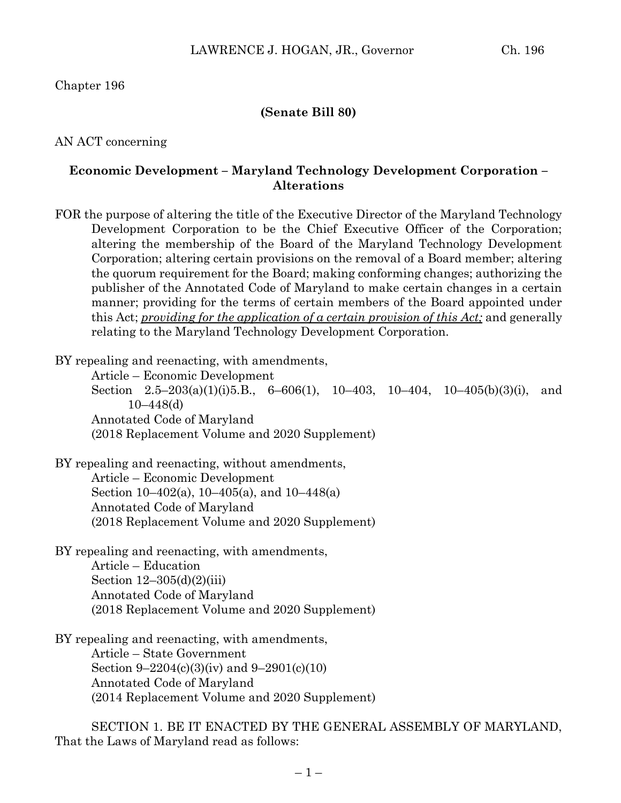Chapter 196

## **(Senate Bill 80)**

AN ACT concerning

## **Economic Development – Maryland Technology Development Corporation – Alterations**

FOR the purpose of altering the title of the Executive Director of the Maryland Technology Development Corporation to be the Chief Executive Officer of the Corporation; altering the membership of the Board of the Maryland Technology Development Corporation; altering certain provisions on the removal of a Board member; altering the quorum requirement for the Board; making conforming changes; authorizing the publisher of the Annotated Code of Maryland to make certain changes in a certain manner; providing for the terms of certain members of the Board appointed under this Act; *providing for the application of a certain provision of this Act;* and generally relating to the Maryland Technology Development Corporation.

BY repealing and reenacting, with amendments,

Article – Economic Development Section  $2.5-203(a)(1)(i)5.B., 6-606(1), 10-403, 10-404, 10-405(b)(3)(i), and$ 10–448(d) Annotated Code of Maryland (2018 Replacement Volume and 2020 Supplement)

BY repealing and reenacting, without amendments, Article – Economic Development Section 10–402(a), 10–405(a), and 10–448(a) Annotated Code of Maryland (2018 Replacement Volume and 2020 Supplement)

BY repealing and reenacting, with amendments, Article – Education Section  $12-305(d)(2)(iii)$ Annotated Code of Maryland (2018 Replacement Volume and 2020 Supplement)

BY repealing and reenacting, with amendments, Article – State Government Section 9–2204(c)(3)(iv) and 9–2901(c)(10) Annotated Code of Maryland (2014 Replacement Volume and 2020 Supplement)

SECTION 1. BE IT ENACTED BY THE GENERAL ASSEMBLY OF MARYLAND, That the Laws of Maryland read as follows: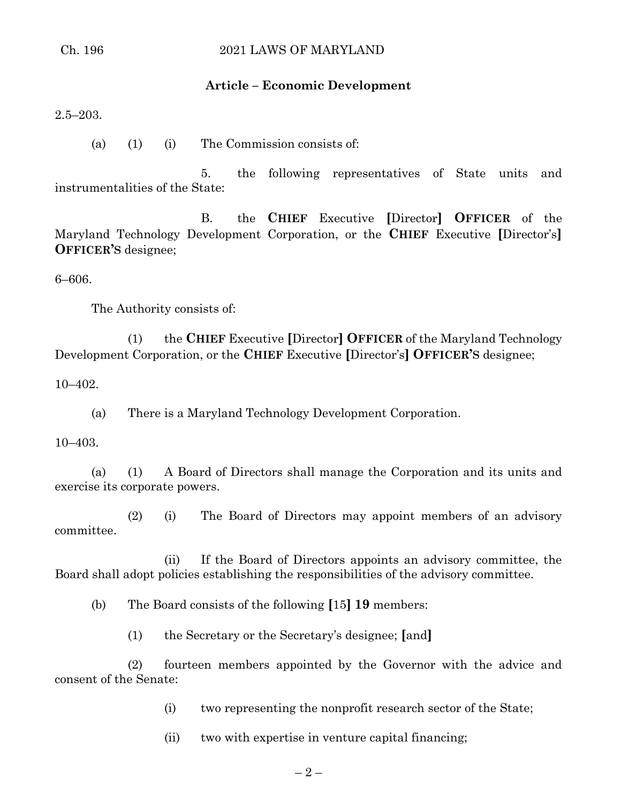# **Article – Economic Development**

2.5–203.

(a) (1) (i) The Commission consists of:

5. the following representatives of State units and instrumentalities of the State:

B. the **CHIEF** Executive **[**Director**] OFFICER** of the Maryland Technology Development Corporation, or the **CHIEF** Executive **[**Director's**] OFFICER'S** designee;

6–606.

The Authority consists of:

(1) the **CHIEF** Executive **[**Director**] OFFICER** of the Maryland Technology Development Corporation, or the **CHIEF** Executive **[**Director's**] OFFICER'S** designee;

10–402.

(a) There is a Maryland Technology Development Corporation.

10–403.

(a) (1) A Board of Directors shall manage the Corporation and its units and exercise its corporate powers.

(2) (i) The Board of Directors may appoint members of an advisory committee.

(ii) If the Board of Directors appoints an advisory committee, the Board shall adopt policies establishing the responsibilities of the advisory committee.

(b) The Board consists of the following **[**15**] 19** members:

(1) the Secretary or the Secretary's designee; **[**and**]**

(2) fourteen members appointed by the Governor with the advice and consent of the Senate:

(i) two representing the nonprofit research sector of the State;

(ii) two with expertise in venture capital financing;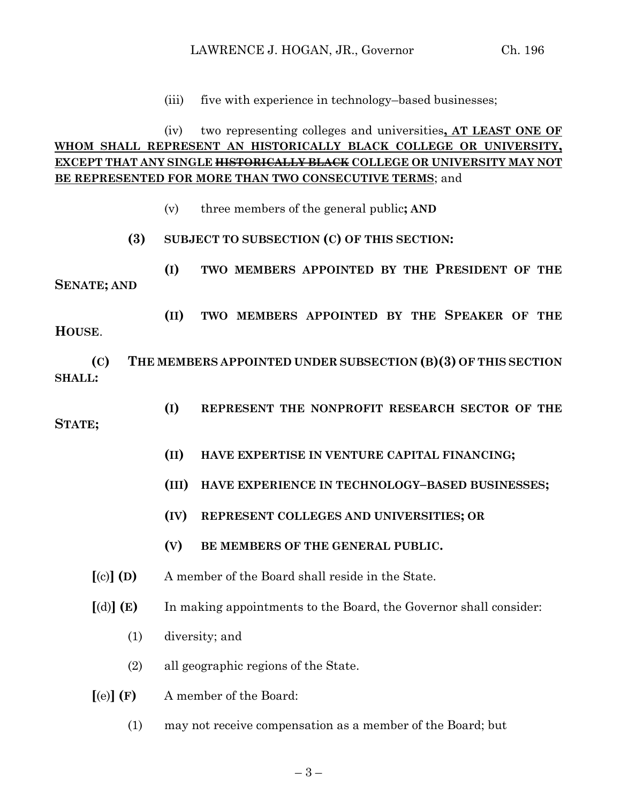(iii) five with experience in technology–based businesses;

# (iv) two representing colleges and universities**, AT LEAST ONE OF WHOM SHALL REPRESENT AN HISTORICALLY BLACK COLLEGE OR UNIVERSITY, EXCEPT THAT ANY SINGLE HISTORICALLY BLACK COLLEGE OR UNIVERSITY MAY NOT BE REPRESENTED FOR MORE THAN TWO CONSECUTIVE TERMS**; and

- (v) three members of the general public**; AND**
- **(3) SUBJECT TO SUBSECTION (C) OF THIS SECTION:**
- **(I) TWO MEMBERS APPOINTED BY THE PRESIDENT OF THE SENATE; AND**

**(II) TWO MEMBERS APPOINTED BY THE SPEAKER OF THE** 

**(C) THE MEMBERS APPOINTED UNDER SUBSECTION (B)(3) OF THIS SECTION SHALL:**

**(I) REPRESENT THE NONPROFIT RESEARCH SECTOR OF THE** 

#### **STATE;**

**HOUSE**.

- **(II) HAVE EXPERTISE IN VENTURE CAPITAL FINANCING;**
- **(III) HAVE EXPERIENCE IN TECHNOLOGY–BASED BUSINESSES;**
- **(IV) REPRESENT COLLEGES AND UNIVERSITIES; OR**
- **(V) BE MEMBERS OF THE GENERAL PUBLIC.**
- **[**(c)**] (D)** A member of the Board shall reside in the State.
- **[**(d)**] (E)** In making appointments to the Board, the Governor shall consider:
	- (1) diversity; and
	- (2) all geographic regions of the State.
- **[**(e)**] (F)** A member of the Board:
	- (1) may not receive compensation as a member of the Board; but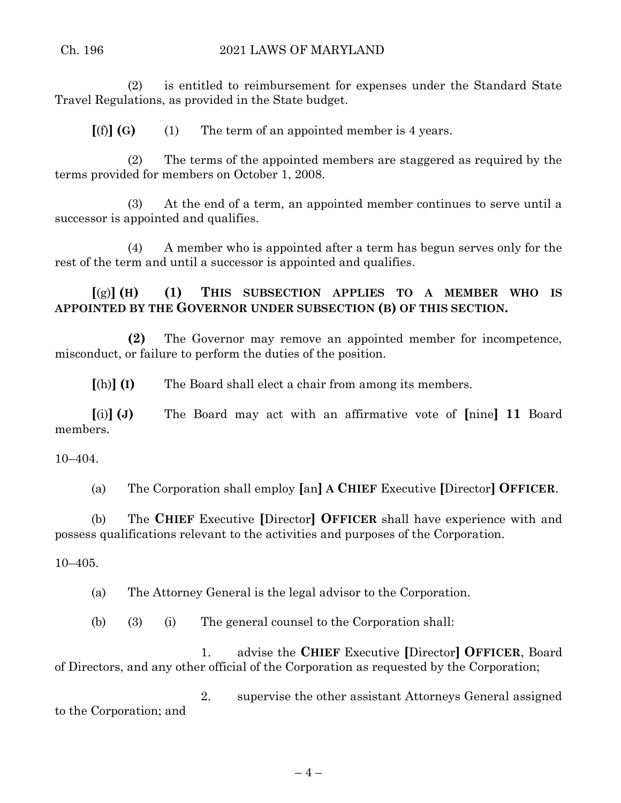(2) is entitled to reimbursement for expenses under the Standard State Travel Regulations, as provided in the State budget.

 $[(f)]$  **(G)** (1) The term of an appointed member is 4 years.

(2) The terms of the appointed members are staggered as required by the terms provided for members on October 1, 2008.

(3) At the end of a term, an appointed member continues to serve until a successor is appointed and qualifies.

(4) A member who is appointed after a term has begun serves only for the rest of the term and until a successor is appointed and qualifies.

**[**(g)**] (H) (1) THIS SUBSECTION APPLIES TO A MEMBER WHO IS APPOINTED BY THE GOVERNOR UNDER SUBSECTION (B) OF THIS SECTION.**

**(2)** The Governor may remove an appointed member for incompetence, misconduct, or failure to perform the duties of the position.

**[**(h)**] (I)** The Board shall elect a chair from among its members.

**[**(i)**] (J)** The Board may act with an affirmative vote of **[**nine**] 11** Board members.

10–404.

(a) The Corporation shall employ **[**an**] A CHIEF** Executive **[**Director**] OFFICER**.

(b) The **CHIEF** Executive **[**Director**] OFFICER** shall have experience with and possess qualifications relevant to the activities and purposes of the Corporation.

10–405.

(a) The Attorney General is the legal advisor to the Corporation.

(b) (3) (i) The general counsel to the Corporation shall:

1. advise the **CHIEF** Executive **[**Director**] OFFICER**, Board of Directors, and any other official of the Corporation as requested by the Corporation;

2. supervise the other assistant Attorneys General assigned to the Corporation; and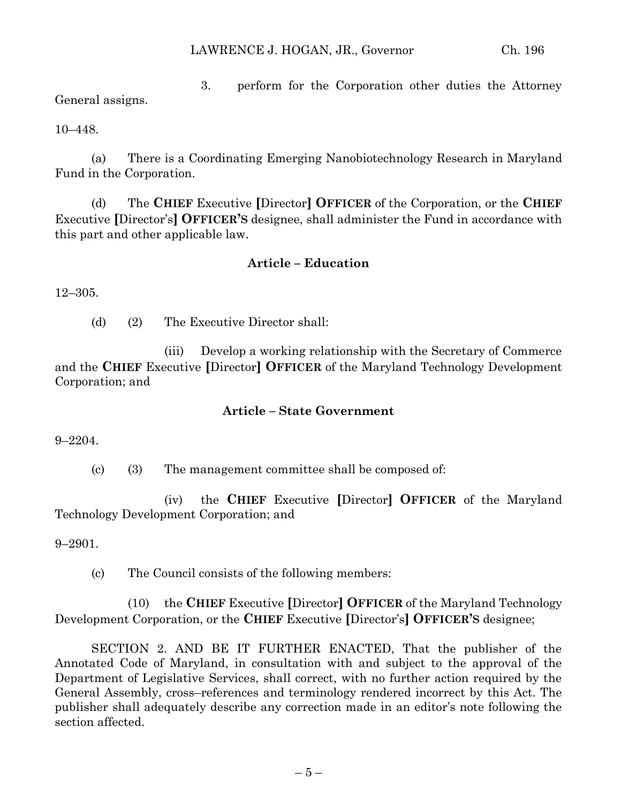3. perform for the Corporation other duties the Attorney General assigns.

10–448.

(a) There is a Coordinating Emerging Nanobiotechnology Research in Maryland Fund in the Corporation.

(d) The **CHIEF** Executive **[**Director**] OFFICER** of the Corporation, or the **CHIEF** Executive **[**Director's**] OFFICER'S** designee, shall administer the Fund in accordance with this part and other applicable law.

# **Article – Education**

12–305.

(d) (2) The Executive Director shall:

(iii) Develop a working relationship with the Secretary of Commerce and the **CHIEF** Executive **[**Director**] OFFICER** of the Maryland Technology Development Corporation; and

# **Article – State Government**

9–2204.

(c) (3) The management committee shall be composed of:

(iv) the **CHIEF** Executive **[**Director**] OFFICER** of the Maryland Technology Development Corporation; and

9–2901.

(c) The Council consists of the following members:

(10) the **CHIEF** Executive **[**Director**] OFFICER** of the Maryland Technology Development Corporation, or the **CHIEF** Executive **[**Director's**] OFFICER'S** designee;

SECTION 2. AND BE IT FURTHER ENACTED, That the publisher of the Annotated Code of Maryland, in consultation with and subject to the approval of the Department of Legislative Services, shall correct, with no further action required by the General Assembly, cross–references and terminology rendered incorrect by this Act. The publisher shall adequately describe any correction made in an editor's note following the section affected.